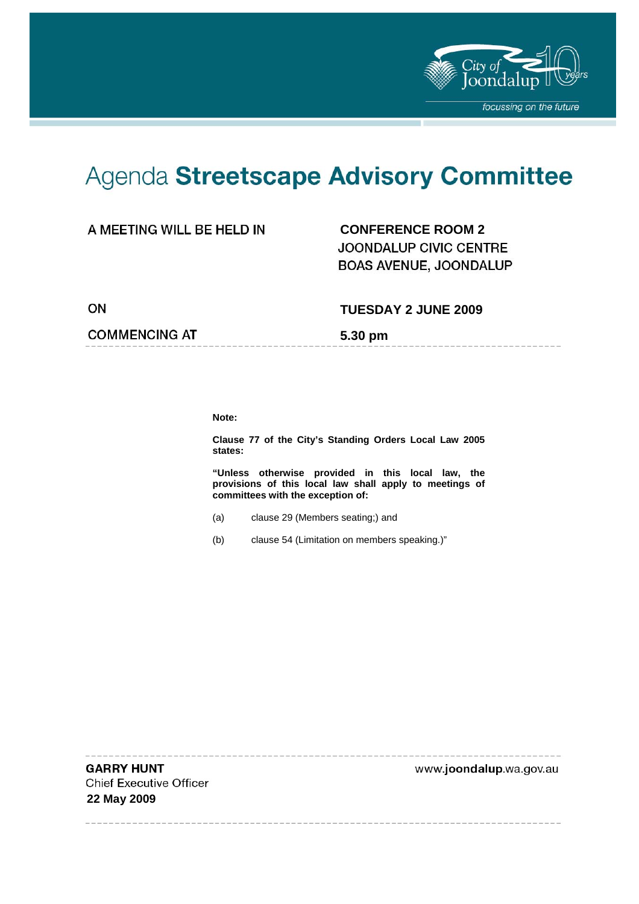

-------------------

# Agenda Streetscape Advisory Committee

#### A MEETING WILL BE HELD IN

**CONFERENCE ROOM 2**  JOONDALUP CIVIC CENTRE **BOAS AVENUE, JOONDALUP** 

ON

#### **TUESDAY 2 JUNE 2009**

**COMMENCING AT** 

**5.30 pm** 

**Note:** 

**Clause 77 of the City's Standing Orders Local Law 2005 states:** 

**"Unless otherwise provided in this local law, the provisions of this local law shall apply to meetings of committees with the exception of:** 

- (a) clause 29 (Members seating;) and
- (b) clause 54 (Limitation on members speaking.)"

**GARRY HUNT Chief Executive Officer 22 May 2009** 

-------

www.joondalup.wa.gov.au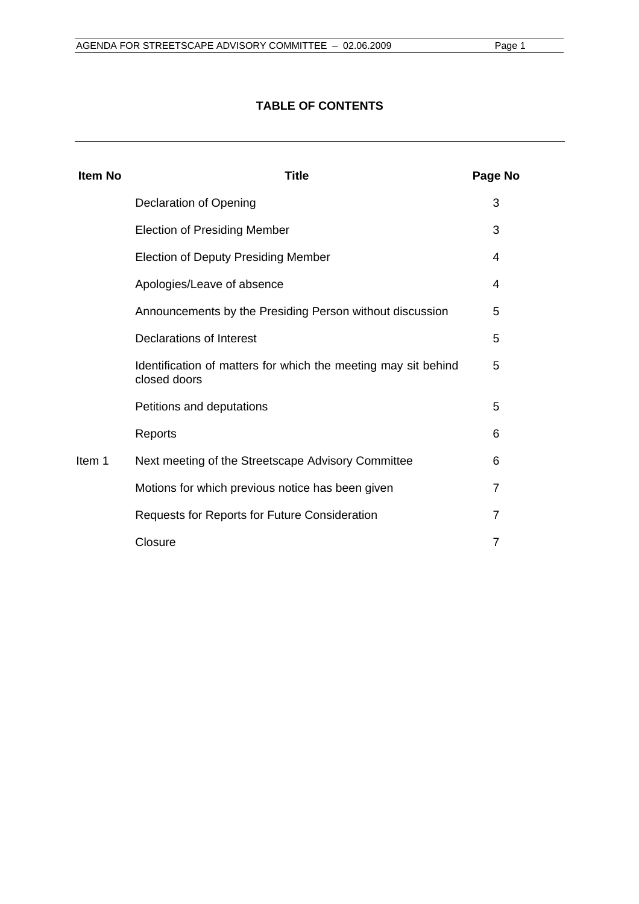#### **TABLE OF CONTENTS**

| <b>Item No</b> | <b>Title</b>                                                                   | Page No |
|----------------|--------------------------------------------------------------------------------|---------|
|                | Declaration of Opening                                                         | 3       |
|                | <b>Election of Presiding Member</b>                                            | 3       |
|                | <b>Election of Deputy Presiding Member</b>                                     | 4       |
|                | Apologies/Leave of absence                                                     | 4       |
|                | Announcements by the Presiding Person without discussion                       | 5       |
|                | Declarations of Interest                                                       | 5       |
|                | Identification of matters for which the meeting may sit behind<br>closed doors | 5       |
|                | Petitions and deputations                                                      | 5       |
| Item 1         | Reports                                                                        | 6       |
|                | Next meeting of the Streetscape Advisory Committee                             | 6       |
|                | Motions for which previous notice has been given                               | 7       |
|                | Requests for Reports for Future Consideration                                  | 7       |
|                | Closure                                                                        | 7       |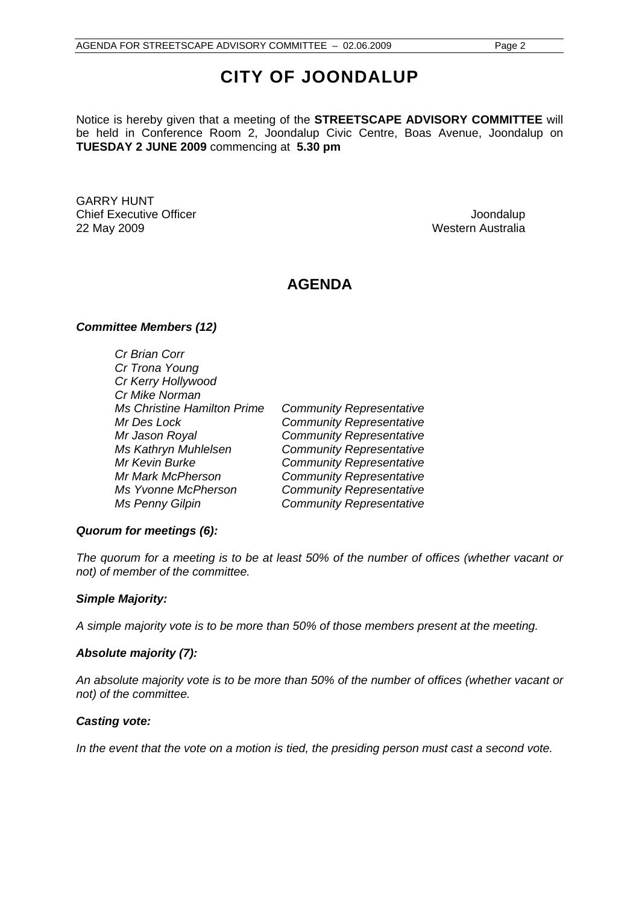## **CITY OF JOONDALUP**

Notice is hereby given that a meeting of the **STREETSCAPE ADVISORY COMMITTEE** will be held in Conference Room 2, Joondalup Civic Centre, Boas Avenue, Joondalup on **TUESDAY 2 JUNE 2009** commencing at **5.30 pm** 

GARRY HUNT Chief Executive Officer  $\Box$  Joondalup Joondalup 22 May 2009 Western Australia

### **AGENDA**

#### *Committee Members (12)*

*Cr Brian Corr Cr Trona Young Cr Kerry Hollywood Cr Mike Norman Ms Christine Hamilton Prime Community Representative Mr Des Lock Community Representative Mr Jason Royal Community Representative Ms Kathryn Muhlelsen Community Representative Mr Kevin Burke Community Representative Mr Mark McPherson Community Representative Ms Yvonne McPherson Community Representative Ms Penny Gilpin Community Representative* 

#### *Quorum for meetings (6):*

*The quorum for a meeting is to be at least 50% of the number of offices (whether vacant or not) of member of the committee.* 

#### *Simple Majority:*

*A simple majority vote is to be more than 50% of those members present at the meeting.* 

#### *Absolute majority (7):*

*An absolute majority vote is to be more than 50% of the number of offices (whether vacant or not) of the committee.* 

#### *Casting vote:*

In the event that the vote on a motion is tied, the presiding person must cast a second vote.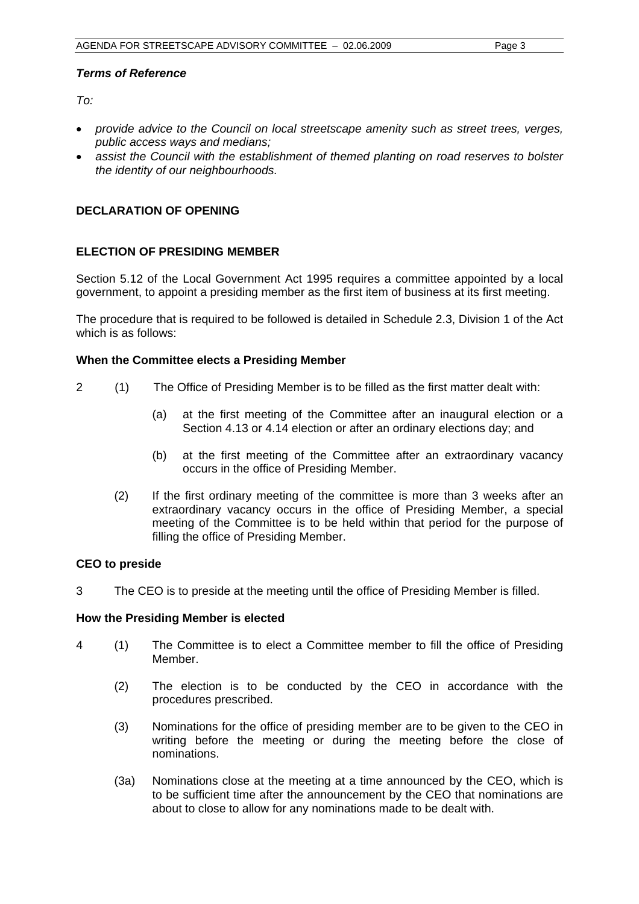#### *Terms of Reference*

 $To:$ 

- *provide advice to the Council on local streetscape amenity such as street trees, verges, public access ways and medians;*
- *assist the Council with the establishment of themed planting on road reserves to bolster the identity of our neighbourhoods.*

#### **DECLARATION OF OPENING**

#### **ELECTION OF PRESIDING MEMBER**

Section 5.12 of the Local Government Act 1995 requires a committee appointed by a local government, to appoint a presiding member as the first item of business at its first meeting.

The procedure that is required to be followed is detailed in Schedule 2.3, Division 1 of the Act which is as follows:

#### **When the Committee elects a Presiding Member**

- 2 (1) The Office of Presiding Member is to be filled as the first matter dealt with:
	- (a) at the first meeting of the Committee after an inaugural election or a Section 4.13 or 4.14 election or after an ordinary elections day; and
	- (b) at the first meeting of the Committee after an extraordinary vacancy occurs in the office of Presiding Member.
	- (2) If the first ordinary meeting of the committee is more than 3 weeks after an extraordinary vacancy occurs in the office of Presiding Member, a special meeting of the Committee is to be held within that period for the purpose of filling the office of Presiding Member.

#### **CEO to preside**

3 The CEO is to preside at the meeting until the office of Presiding Member is filled.

#### **How the Presiding Member is elected**

- 4 (1) The Committee is to elect a Committee member to fill the office of Presiding Member.
	- (2) The election is to be conducted by the CEO in accordance with the procedures prescribed.
	- (3) Nominations for the office of presiding member are to be given to the CEO in writing before the meeting or during the meeting before the close of nominations.
	- (3a) Nominations close at the meeting at a time announced by the CEO, which is to be sufficient time after the announcement by the CEO that nominations are about to close to allow for any nominations made to be dealt with.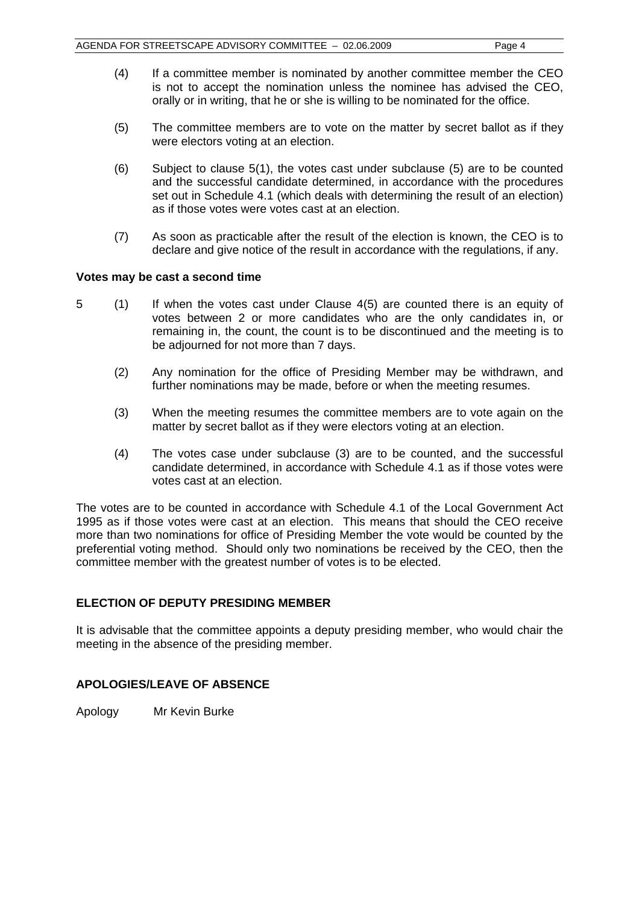- (4) If a committee member is nominated by another committee member the CEO is not to accept the nomination unless the nominee has advised the CEO, orally or in writing, that he or she is willing to be nominated for the office.
- (5) The committee members are to vote on the matter by secret ballot as if they were electors voting at an election.
- (6) Subject to clause 5(1), the votes cast under subclause (5) are to be counted and the successful candidate determined, in accordance with the procedures set out in Schedule 4.1 (which deals with determining the result of an election) as if those votes were votes cast at an election.
- (7) As soon as practicable after the result of the election is known, the CEO is to declare and give notice of the result in accordance with the regulations, if any.

#### **Votes may be cast a second time**

- 5 (1) If when the votes cast under Clause 4(5) are counted there is an equity of votes between 2 or more candidates who are the only candidates in, or remaining in, the count, the count is to be discontinued and the meeting is to be adjourned for not more than 7 days.
	- (2) Any nomination for the office of Presiding Member may be withdrawn, and further nominations may be made, before or when the meeting resumes.
	- (3) When the meeting resumes the committee members are to vote again on the matter by secret ballot as if they were electors voting at an election.
	- (4) The votes case under subclause (3) are to be counted, and the successful candidate determined, in accordance with Schedule 4.1 as if those votes were votes cast at an election.

The votes are to be counted in accordance with Schedule 4.1 of the Local Government Act 1995 as if those votes were cast at an election. This means that should the CEO receive more than two nominations for office of Presiding Member the vote would be counted by the preferential voting method. Should only two nominations be received by the CEO, then the committee member with the greatest number of votes is to be elected.

#### **ELECTION OF DEPUTY PRESIDING MEMBER**

It is advisable that the committee appoints a deputy presiding member, who would chair the meeting in the absence of the presiding member.

#### **APOLOGIES/LEAVE OF ABSENCE**

Apology Mr Kevin Burke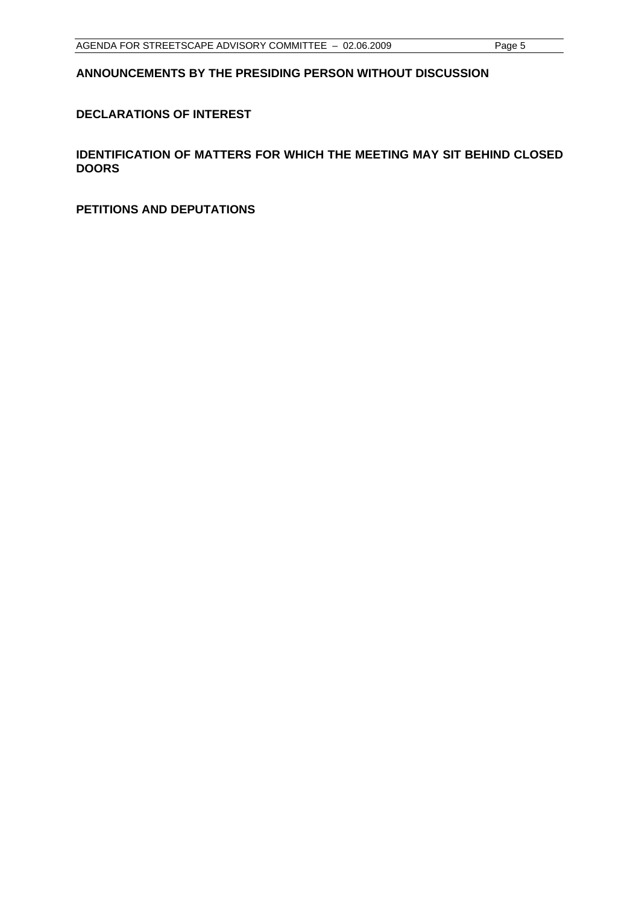#### **ANNOUNCEMENTS BY THE PRESIDING PERSON WITHOUT DISCUSSION**

#### **DECLARATIONS OF INTEREST**

**IDENTIFICATION OF MATTERS FOR WHICH THE MEETING MAY SIT BEHIND CLOSED DOORS** 

**PETITIONS AND DEPUTATIONS**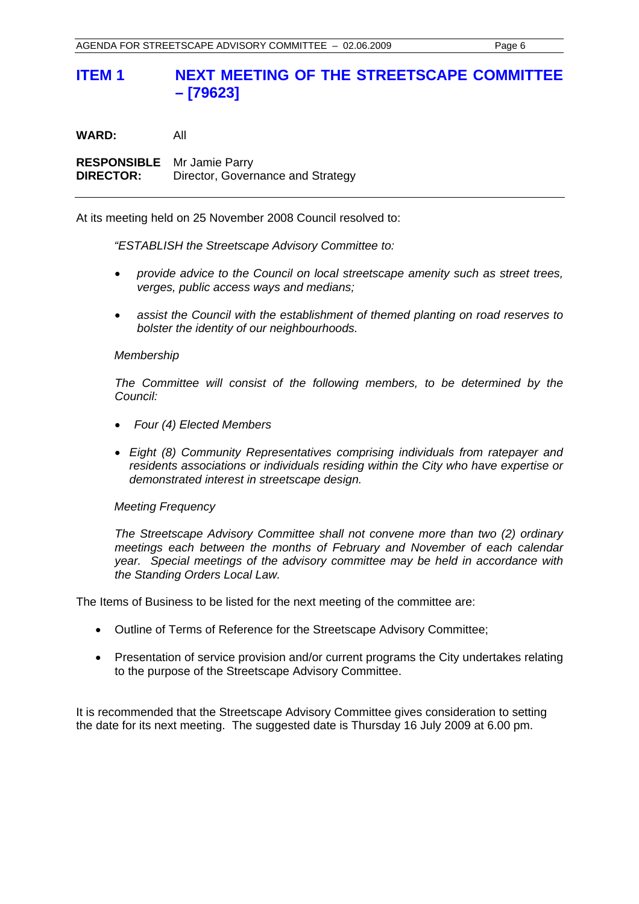#### **ITEM 1 NEXT MEETING OF THE STREETSCAPE COMMITTEE – [79623]**

**WARD:** All **RESPONSIBLE** Mr Jamie Parry **DIRECTOR:** Director, Governance and Strategy

At its meeting held on 25 November 2008 Council resolved to:

*"ESTABLISH the Streetscape Advisory Committee to:* 

- *provide advice to the Council on local streetscape amenity such as street trees, verges, public access ways and medians;*
- *assist the Council with the establishment of themed planting on road reserves to bolster the identity of our neighbourhoods.*

#### *Membership*

*The Committee will consist of the following members, to be determined by the Council:* 

- *Four (4) Elected Members*
- *Eight (8) Community Representatives comprising individuals from ratepayer and residents associations or individuals residing within the City who have expertise or demonstrated interest in streetscape design.*

#### *Meeting Frequency*

*The Streetscape Advisory Committee shall not convene more than two (2) ordinary meetings each between the months of February and November of each calendar year. Special meetings of the advisory committee may be held in accordance with the Standing Orders Local Law.* 

The Items of Business to be listed for the next meeting of the committee are:

- Outline of Terms of Reference for the Streetscape Advisory Committee;
- Presentation of service provision and/or current programs the City undertakes relating to the purpose of the Streetscape Advisory Committee.

It is recommended that the Streetscape Advisory Committee gives consideration to setting the date for its next meeting. The suggested date is Thursday 16 July 2009 at 6.00 pm.